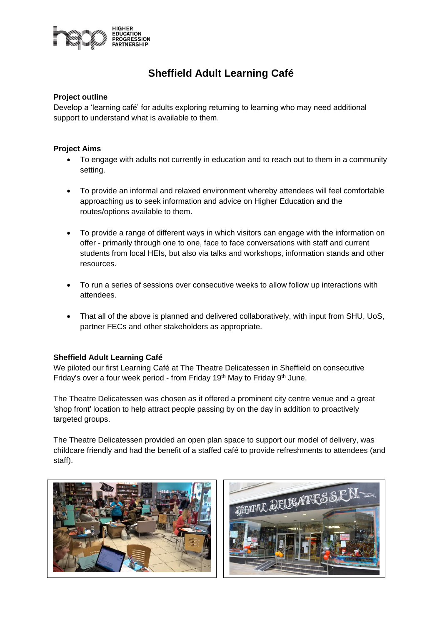

# **Sheffield Adult Learning Café**

## **Project outline**

Develop a 'learning café' for adults exploring returning to learning who may need additional support to understand what is available to them.

## **Project Aims**

- To engage with adults not currently in education and to reach out to them in a community setting.
- To provide an informal and relaxed environment whereby attendees will feel comfortable approaching us to seek information and advice on Higher Education and the routes/options available to them.
- To provide a range of different ways in which visitors can engage with the information on offer - primarily through one to one, face to face conversations with staff and current students from local HEIs, but also via talks and workshops, information stands and other resources.
- To run a series of sessions over consecutive weeks to allow follow up interactions with attendees.
- That all of the above is planned and delivered collaboratively, with input from SHU, UoS, partner FECs and other stakeholders as appropriate.

## **Sheffield Adult Learning Café**

We piloted our first Learning Café at The Theatre Delicatessen in Sheffield on consecutive Friday's over a four week period - from Friday 19<sup>th</sup> May to Friday 9<sup>th</sup> June.

The Theatre Delicatessen was chosen as it offered a prominent city centre venue and a great 'shop front' location to help attract people passing by on the day in addition to proactively targeted groups.

The Theatre Delicatessen provided an open plan space to support our model of delivery, was childcare friendly and had the benefit of a staffed café to provide refreshments to attendees (and staff).



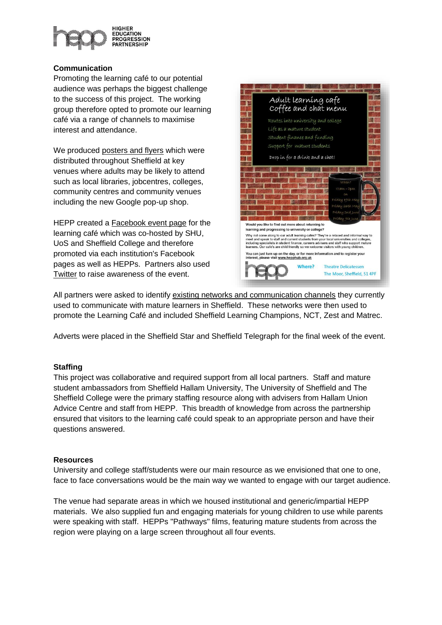

## **Communication**

Promoting the learning café to our potential audience was perhaps the biggest challenge to the success of this project. The working group therefore opted to promote our learning café via a range of channels to maximise interest and attendance.

We produced posters and flyers which were distributed throughout Sheffield at key venues where adults may be likely to attend such as local libraries, jobcentres, colleges, community centres and community venues including the new Google pop-up shop.

HEPP created a Facebook event page for the learning café which was co-hosted by SHU, UoS and Sheffield College and therefore promoted via each institution's Facebook pages as well as HEPPs. Partners also used Twitter to raise awareness of the event.



All partners were asked to identify existing networks and communication channels they currently used to communicate with mature learners in Sheffield. These networks were then used to promote the Learning Café and included Sheffield Learning Champions, NCT, Zest and Matrec.

Adverts were placed in the Sheffield Star and Sheffield Telegraph for the final week of the event.

## **Staffing**

This project was collaborative and required support from all local partners. Staff and mature student ambassadors from Sheffield Hallam University, The University of Sheffield and The Sheffield College were the primary staffing resource along with advisers from Hallam Union Advice Centre and staff from HEPP. This breadth of knowledge from across the partnership ensured that visitors to the learning café could speak to an appropriate person and have their questions answered.

## **Resources**

University and college staff/students were our main resource as we envisioned that one to one, face to face conversations would be the main way we wanted to engage with our target audience.

The venue had separate areas in which we housed institutional and generic/impartial HEPP materials. We also supplied fun and engaging materials for young children to use while parents were speaking with staff. HEPPs "Pathways" films, featuring mature students from across the region were playing on a large screen throughout all four events.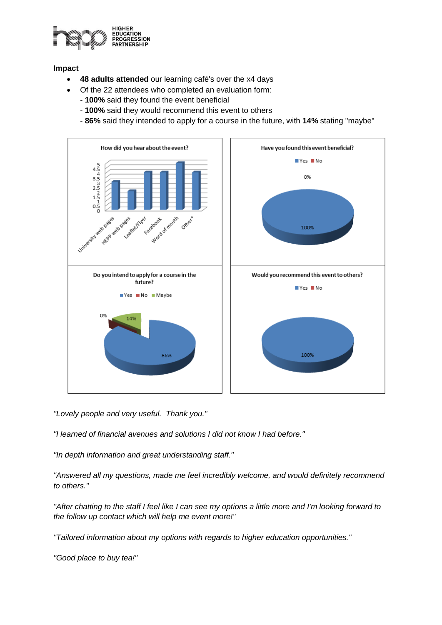

## **Impact**

- **48 adults attended** our learning café's over the x4 days
	- Of the 22 attendees who completed an evaluation form: - **100%** said they found the event beneficial
		- **100%** said they would recommend this event to others
		- **86%** said they intended to apply for a course in the future, with **14%** stating "maybe"



*"Lovely people and very useful. Thank you."*

*"I learned of financial avenues and solutions I did not know I had before."*

*"In depth information and great understanding staff."*

*"Answered all my questions, made me feel incredibly welcome, and would definitely recommend to others."*

*"After chatting to the staff I feel like I can see my options a little more and I'm looking forward to the follow up contact which will help me event more!"*

*"Tailored information about my options with regards to higher education opportunities."*

*"Good place to buy tea!"*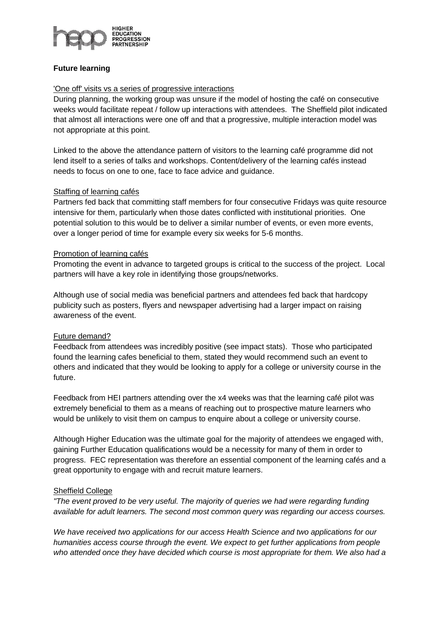

## **Future learning**

## 'One off' visits vs a series of progressive interactions

During planning, the working group was unsure if the model of hosting the café on consecutive weeks would facilitate repeat / follow up interactions with attendees. The Sheffield pilot indicated that almost all interactions were one off and that a progressive, multiple interaction model was not appropriate at this point.

Linked to the above the attendance pattern of visitors to the learning café programme did not lend itself to a series of talks and workshops. Content/delivery of the learning cafés instead needs to focus on one to one, face to face advice and guidance.

## Staffing of learning cafés

Partners fed back that committing staff members for four consecutive Fridays was quite resource intensive for them, particularly when those dates conflicted with institutional priorities. One potential solution to this would be to deliver a similar number of events, or even more events, over a longer period of time for example every six weeks for 5-6 months.

## Promotion of learning cafés

Promoting the event in advance to targeted groups is critical to the success of the project. Local partners will have a key role in identifying those groups/networks.

Although use of social media was beneficial partners and attendees fed back that hardcopy publicity such as posters, flyers and newspaper advertising had a larger impact on raising awareness of the event.

## Future demand?

Feedback from attendees was incredibly positive (see impact stats). Those who participated found the learning cafes beneficial to them, stated they would recommend such an event to others and indicated that they would be looking to apply for a college or university course in the future.

Feedback from HEI partners attending over the x4 weeks was that the learning café pilot was extremely beneficial to them as a means of reaching out to prospective mature learners who would be unlikely to visit them on campus to enquire about a college or university course.

Although Higher Education was the ultimate goal for the majority of attendees we engaged with, gaining Further Education qualifications would be a necessity for many of them in order to progress. FEC representation was therefore an essential component of the learning cafés and a great opportunity to engage with and recruit mature learners.

## Sheffield College

*"The event proved to be very useful. The majority of queries we had were regarding funding available for adult learners. The second most common query was regarding our access courses.* 

*We have received two applications for our access Health Science and two applications for our humanities access course through the event. We expect to get further applications from people who attended once they have decided which course is most appropriate for them. We also had a*